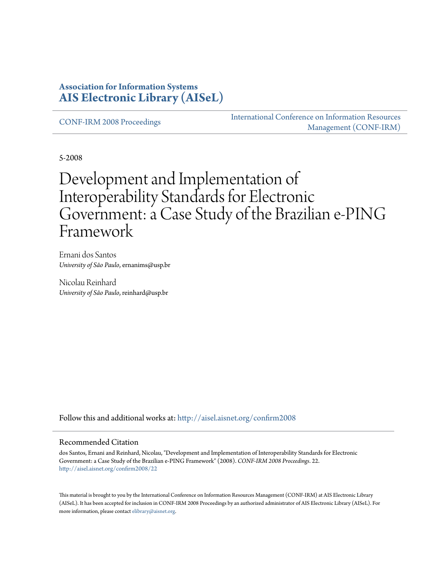#### **Association for Information Systems [AIS Electronic Library \(AISeL\)](http://aisel.aisnet.org?utm_source=aisel.aisnet.org%2Fconfirm2008%2F22&utm_medium=PDF&utm_campaign=PDFCoverPages)**

[CONF-IRM 2008 Proceedings](http://aisel.aisnet.org/confirm2008?utm_source=aisel.aisnet.org%2Fconfirm2008%2F22&utm_medium=PDF&utm_campaign=PDFCoverPages)

[International Conference on Information Resources](http://aisel.aisnet.org/conf-irm?utm_source=aisel.aisnet.org%2Fconfirm2008%2F22&utm_medium=PDF&utm_campaign=PDFCoverPages) [Management \(CONF-IRM\)](http://aisel.aisnet.org/conf-irm?utm_source=aisel.aisnet.org%2Fconfirm2008%2F22&utm_medium=PDF&utm_campaign=PDFCoverPages)

5-2008

# Development and Implementation of Interoperability Standards for Electronic Government: a Case Study of the Brazilian e-PING Framework

Ernani dos Santos *University of São Paulo*, ernanims@usp.br

Nicolau Reinhard *University of São Paulo*, reinhard@usp.br

Follow this and additional works at: [http://aisel.aisnet.org/confirm2008](http://aisel.aisnet.org/confirm2008?utm_source=aisel.aisnet.org%2Fconfirm2008%2F22&utm_medium=PDF&utm_campaign=PDFCoverPages)

#### Recommended Citation

dos Santos, Ernani and Reinhard, Nicolau, "Development and Implementation of Interoperability Standards for Electronic Government: a Case Study of the Brazilian e-PING Framework" (2008). *CONF-IRM 2008 Proceedings*. 22. [http://aisel.aisnet.org/confirm2008/22](http://aisel.aisnet.org/confirm2008/22?utm_source=aisel.aisnet.org%2Fconfirm2008%2F22&utm_medium=PDF&utm_campaign=PDFCoverPages)

This material is brought to you by the International Conference on Information Resources Management (CONF-IRM) at AIS Electronic Library (AISeL). It has been accepted for inclusion in CONF-IRM 2008 Proceedings by an authorized administrator of AIS Electronic Library (AISeL). For more information, please contact [elibrary@aisnet.org.](mailto:elibrary@aisnet.org%3E)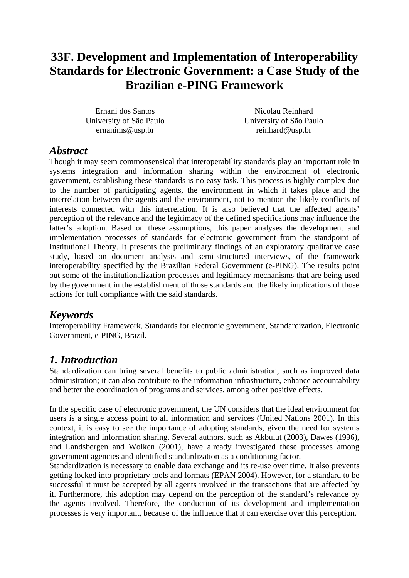# **33F. Development and Implementation of Interoperability Standards for Electronic Government: a Case Study of the Brazilian e-PING Framework**

Ernani dos Santos University of São Paulo ernanims@usp.br

Nicolau Reinhard University of São Paulo reinhard@usp.br

#### *Abstract*

Though it may seem commonsensical that interoperability standards play an important role in systems integration and information sharing within the environment of electronic government, establishing these standards is no easy task. This process is highly complex due to the number of participating agents, the environment in which it takes place and the interrelation between the agents and the environment, not to mention the likely conflicts of interests connected with this interrelation. It is also believed that the affected agents' perception of the relevance and the legitimacy of the defined specifications may influence the latter's adoption. Based on these assumptions, this paper analyses the development and implementation processes of standards for electronic government from the standpoint of Institutional Theory. It presents the preliminary findings of an exploratory qualitative case study, based on document analysis and semi-structured interviews, of the framework interoperability specified by the Brazilian Federal Government (e-PING). The results point out some of the institutionalization processes and legitimacy mechanisms that are being used by the government in the establishment of those standards and the likely implications of those actions for full compliance with the said standards.

# *Keywords*

Interoperability Framework, Standards for electronic government, Standardization, Electronic Government, e-PING, Brazil.

#### *1. Introduction*

Standardization can bring several benefits to public administration, such as improved data administration; it can also contribute to the information infrastructure, enhance accountability and better the coordination of programs and services, among other positive effects.

In the specific case of electronic government, the UN considers that the ideal environment for users is a single access point to all information and services (United Nations 2001). In this context, it is easy to see the importance of adopting standards, given the need for systems integration and information sharing. Several authors, such as Akbulut (2003), Dawes (1996), and Landsbergen and Wolken (2001), have already investigated these processes among government agencies and identified standardization as a conditioning factor.

Standardization is necessary to enable data exchange and its re-use over time. It also prevents getting locked into proprietary tools and formats (EPAN 2004). However, for a standard to be successful it must be accepted by all agents involved in the transactions that are affected by it. Furthermore, this adoption may depend on the perception of the standard's relevance by the agents involved. Therefore, the conduction of its development and implementation processes is very important, because of the influence that it can exercise over this perception.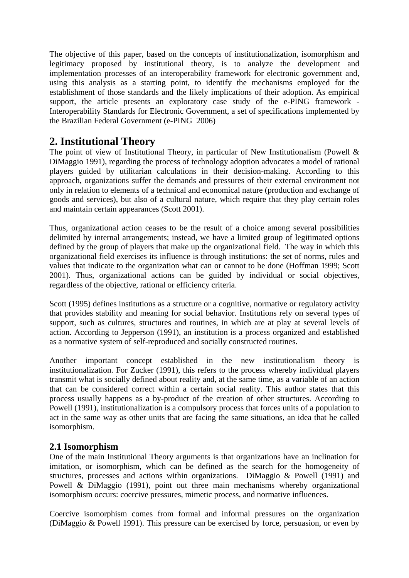The objective of this paper, based on the concepts of institutionalization, isomorphism and legitimacy proposed by institutional theory, is to analyze the development and implementation processes of an interoperability framework for electronic government and, using this analysis as a starting point, to identify the mechanisms employed for the establishment of those standards and the likely implications of their adoption. As empirical support, the article presents an exploratory case study of the e-PING framework - Interoperability Standards for Electronic Government, a set of specifications implemented by the Brazilian Federal Government (e-PING 2006)

# **2. Institutional Theory**

The point of view of Institutional Theory, in particular of New Institutionalism (Powell & DiMaggio 1991), regarding the process of technology adoption advocates a model of rational players guided by utilitarian calculations in their decision-making. According to this approach, organizations suffer the demands and pressures of their external environment not only in relation to elements of a technical and economical nature (production and exchange of goods and services), but also of a cultural nature, which require that they play certain roles and maintain certain appearances (Scott 2001).

Thus, organizational action ceases to be the result of a choice among several possibilities delimited by internal arrangements; instead, we have a limited group of legitimated options defined by the group of players that make up the organizational field. The way in which this organizational field exercises its influence is through institutions: the set of norms, rules and values that indicate to the organization what can or cannot to be done (Hoffman 1999; Scott 2001). Thus, organizational actions can be guided by individual or social objectives, regardless of the objective, rational or efficiency criteria.

Scott (1995) defines institutions as a structure or a cognitive, normative or regulatory activity that provides stability and meaning for social behavior. Institutions rely on several types of support, such as cultures, structures and routines, in which are at play at several levels of action. According to Jepperson (1991), an institution is a process organized and established as a normative system of self-reproduced and socially constructed routines.

Another important concept established in the new institutionalism theory is institutionalization. For Zucker (1991), this refers to the process whereby individual players transmit what is socially defined about reality and, at the same time, as a variable of an action that can be considered correct within a certain social reality. This author states that this process usually happens as a by-product of the creation of other structures. According to Powell (1991), institutionalization is a compulsory process that forces units of a population to act in the same way as other units that are facing the same situations, an idea that he called isomorphism.

#### **2.1 Isomorphism**

One of the main Institutional Theory arguments is that organizations have an inclination for imitation, or isomorphism, which can be defined as the search for the homogeneity of structures, processes and actions within organizations. DiMaggio & Powell (1991) and Powell & DiMaggio (1991), point out three main mechanisms whereby organizational isomorphism occurs: coercive pressures, mimetic process, and normative influences.

Coercive isomorphism comes from formal and informal pressures on the organization (DiMaggio & Powell 1991). This pressure can be exercised by force, persuasion, or even by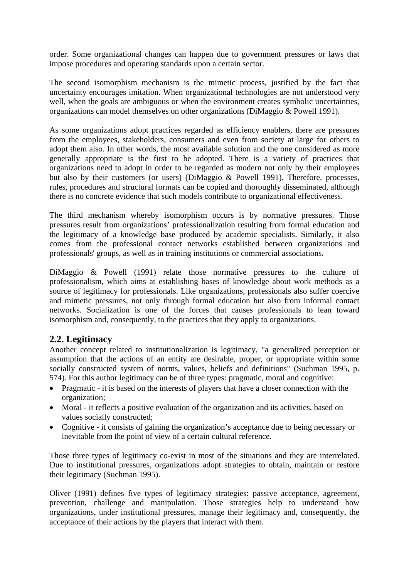order. Some organizational changes can happen due to government pressures or laws that impose procedures and operating standards upon a certain sector.

The second isomorphism mechanism is the mimetic process, justified by the fact that uncertainty encourages imitation. When organizational technologies are not understood very well, when the goals are ambiguous or when the environment creates symbolic uncertainties, organizations can model themselves on other organizations (DiMaggio & Powell 1991).

As some organizations adopt practices regarded as efficiency enablers, there are pressures from the employees, stakeholders, consumers and even from society at large for others to adopt them also. In other words, the most available solution and the one considered as more generally appropriate is the first to be adopted. There is a variety of practices that organizations need to adopt in order to be regarded as modern not only by their employees but also by their customers (or users) (DiMaggio & Powell 1991). Therefore, processes, rules, procedures and structural formats can be copied and thoroughly disseminated, although there is no concrete evidence that such models contribute to organizational effectiveness.

The third mechanism whereby isomorphism occurs is by normative pressures. Those pressures result from organizations' professionalization resulting from formal education and the legitimacy of a knowledge base produced by academic specialists. Similarly, it also comes from the professional contact networks established between organizations and professionals' groups, as well as in training institutions or commercial associations.

DiMaggio & Powell (1991) relate those normative pressures to the culture of professionalism, which aims at establishing bases of knowledge about work methods as a source of legitimacy for professionals. Like organizations, professionals also suffer coercive and mimetic pressures, not only through formal education but also from informal contact networks. Socialization is one of the forces that causes professionals to lean toward isomorphism and, consequently, to the practices that they apply to organizations.

#### **2.2. Legitimacy**

Another concept related to institutionalization is legitimacy, "a generalized perception or assumption that the actions of an entity are desirable, proper, or appropriate within some socially constructed system of norms, values, beliefs and definitions" (Suchman 1995, p. 574). For this author legitimacy can be of three types: pragmatic, moral and cognitive:

- Pragmatic it is based on the interests of players that have a closer connection with the organization;
- Moral it reflects a positive evaluation of the organization and its activities, based on values socially constructed;
- Cognitive it consists of gaining the organization's acceptance due to being necessary or inevitable from the point of view of a certain cultural reference.

Those three types of legitimacy co-exist in most of the situations and they are interrelated. Due to institutional pressures, organizations adopt strategies to obtain, maintain or restore their legitimacy (Suchman 1995).

Oliver (1991) defines five types of legitimacy strategies: passive acceptance, agreement, prevention, challenge and manipulation. Those strategies help to understand how organizations, under institutional pressures, manage their legitimacy and, consequently, the acceptance of their actions by the players that interact with them.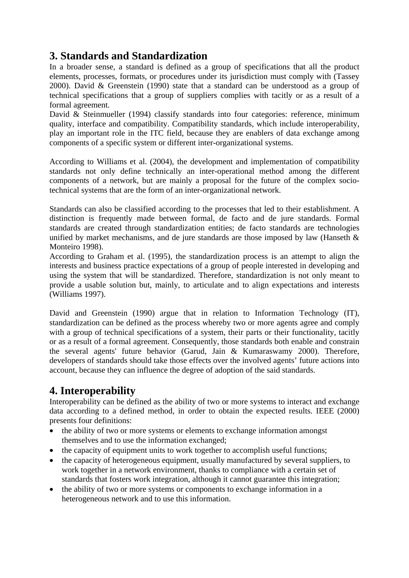# **3. Standards and Standardization**

In a broader sense, a standard is defined as a group of specifications that all the product elements, processes, formats, or procedures under its jurisdiction must comply with (Tassey 2000). David & Greenstein (1990) state that a standard can be understood as a group of technical specifications that a group of suppliers complies with tacitly or as a result of a formal agreement.

David & Steinmueller (1994) classify standards into four categories: reference, minimum quality, interface and compatibility. Compatibility standards, which include interoperability, play an important role in the ITC field, because they are enablers of data exchange among components of a specific system or different inter-organizational systems.

According to Williams et al. (2004), the development and implementation of compatibility standards not only define technically an inter-operational method among the different components of a network, but are mainly a proposal for the future of the complex sociotechnical systems that are the form of an inter-organizational network.

Standards can also be classified according to the processes that led to their establishment. A distinction is frequently made between formal, de facto and de jure standards. Formal standards are created through standardization entities; de facto standards are technologies unified by market mechanisms, and de jure standards are those imposed by law (Hanseth  $\&$ Monteiro 1998).

According to Graham et al. (1995), the standardization process is an attempt to align the interests and business practice expectations of a group of people interested in developing and using the system that will be standardized. Therefore, standardization is not only meant to provide a usable solution but, mainly, to articulate and to align expectations and interests (Williams 1997).

David and Greenstein (1990) argue that in relation to Information Technology (IT), standardization can be defined as the process whereby two or more agents agree and comply with a group of technical specifications of a system, their parts or their functionality, tacitly or as a result of a formal agreement. Consequently, those standards both enable and constrain the several agents' future behavior (Garud, Jain & Kumaraswamy 2000). Therefore, developers of standards should take those effects over the involved agents' future actions into account, because they can influence the degree of adoption of the said standards.

# **4. Interoperability**

Interoperability can be defined as the ability of two or more systems to interact and exchange data according to a defined method, in order to obtain the expected results. IEEE (2000) presents four definitions:

- the ability of two or more systems or elements to exchange information amongst themselves and to use the information exchanged;
- the capacity of equipment units to work together to accomplish useful functions;
- the capacity of heterogeneous equipment, usually manufactured by several suppliers, to work together in a network environment, thanks to compliance with a certain set of standards that fosters work integration, although it cannot guarantee this integration;
- the ability of two or more systems or components to exchange information in a heterogeneous network and to use this information.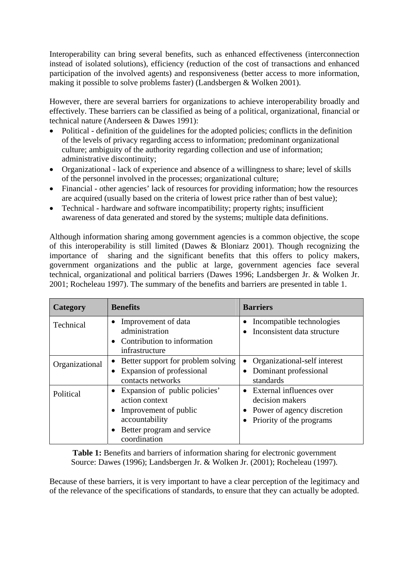Interoperability can bring several benefits, such as enhanced effectiveness (interconnection instead of isolated solutions), efficiency (reduction of the cost of transactions and enhanced participation of the involved agents) and responsiveness (better access to more information, making it possible to solve problems faster) (Landsbergen & Wolken 2001).

However, there are several barriers for organizations to achieve interoperability broadly and effectively. These barriers can be classified as being of a political, organizational, financial or technical nature (Anderseen & Dawes 1991):

- Political definition of the guidelines for the adopted policies; conflicts in the definition of the levels of privacy regarding access to information; predominant organizational culture; ambiguity of the authority regarding collection and use of information; administrative discontinuity;
- Organizational lack of experience and absence of a willingness to share; level of skills of the personnel involved in the processes; organizational culture;
- Financial other agencies' lack of resources for providing information; how the resources are acquired (usually based on the criteria of lowest price rather than of best value);
- Technical hardware and software incompatibility; property rights; insufficient awareness of data generated and stored by the systems; multiple data definitions.

Although information sharing among government agencies is a common objective, the scope of this interoperability is still limited (Dawes & Bloniarz 2001). Though recognizing the importance of sharing and the significant benefits that this offers to policy makers, government organizations and the public at large, government agencies face several technical, organizational and political barriers (Dawes 1996; Landsbergen Jr. & Wolken Jr. 2001; Rocheleau 1997). The summary of the benefits and barriers are presented in table 1.

| Category       | <b>Benefits</b>                                              | <b>Barriers</b>                                          |  |  |
|----------------|--------------------------------------------------------------|----------------------------------------------------------|--|--|
| Technical      | Improvement of data<br>administration                        | Incompatible technologies<br>Inconsistent data structure |  |  |
|                | Contribution to information<br>infrastructure                |                                                          |  |  |
| Organizational | Better support for problem solving                           | Organizational-self interest<br>$\bullet$                |  |  |
|                | Expansion of professional<br>contacts networks               | Dominant professional<br>standards                       |  |  |
| Political      | Expansion of public policies'<br>$\bullet$<br>action context | External influences over<br>$\bullet$<br>decision makers |  |  |
|                | Improvement of public                                        | Power of agency discretion                               |  |  |
|                | accountability                                               | Priority of the programs                                 |  |  |
|                | Better program and service                                   |                                                          |  |  |
|                | coordination                                                 |                                                          |  |  |

**Table 1:** Benefits and barriers of information sharing for electronic government Source: Dawes (1996); Landsbergen Jr. & Wolken Jr. (2001); Rocheleau (1997).

Because of these barriers, it is very important to have a clear perception of the legitimacy and of the relevance of the specifications of standards, to ensure that they can actually be adopted.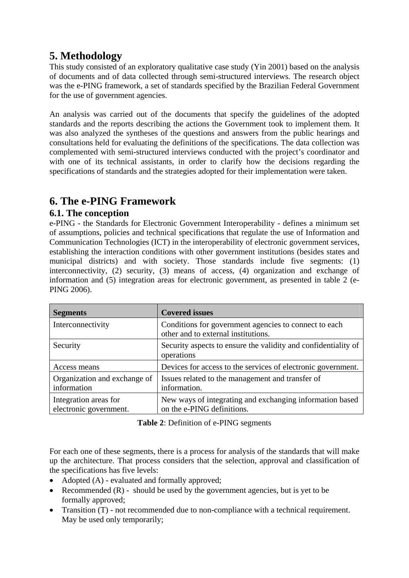# **5. Methodology**

This study consisted of an exploratory qualitative case study (Yin 2001) based on the analysis of documents and of data collected through semi-structured interviews. The research object was the e-PING framework, a set of standards specified by the Brazilian Federal Government for the use of government agencies.

An analysis was carried out of the documents that specify the guidelines of the adopted standards and the reports describing the actions the Government took to implement them. It was also analyzed the syntheses of the questions and answers from the public hearings and consultations held for evaluating the definitions of the specifications. The data collection was complemented with semi-structured interviews conducted with the project's coordinator and with one of its technical assistants, in order to clarify how the decisions regarding the specifications of standards and the strategies adopted for their implementation were taken.

# **6. The e-PING Framework**

#### **6.1. The conception**

e-PING - the Standards for Electronic Government Interoperability - defines a minimum set of assumptions, policies and technical specifications that regulate the use of Information and Communication Technologies (ICT) in the interoperability of electronic government services, establishing the interaction conditions with other government institutions (besides states and municipal districts) and with society. Those standards include five segments: (1) interconnectivity, (2) security, (3) means of access, (4) organization and exchange of information and (5) integration areas for electronic government, as presented in table 2 (e-PING 2006).

| <b>Segments</b>                                 | <b>Covered issues</b>                                                                        |  |  |
|-------------------------------------------------|----------------------------------------------------------------------------------------------|--|--|
| Interconnectivity                               | Conditions for government agencies to connect to each<br>other and to external institutions. |  |  |
| Security                                        | Security aspects to ensure the validity and confidentiality of<br>operations                 |  |  |
| Access means                                    | Devices for access to the services of electronic government.                                 |  |  |
| Organization and exchange of<br>information     | Issues related to the management and transfer of<br>information.                             |  |  |
| Integration areas for<br>electronic government. | New ways of integrating and exchanging information based<br>on the e-PING definitions.       |  |  |

**Table 2**: Definition of e-PING segments

For each one of these segments, there is a process for analysis of the standards that will make up the architecture. That process considers that the selection, approval and classification of the specifications has five levels:

- Adopted (A) evaluated and formally approved;
- Recommended  $(R)$  should be used by the government agencies, but is yet to be formally approved;
- Transition (T) not recommended due to non-compliance with a technical requirement. May be used only temporarily;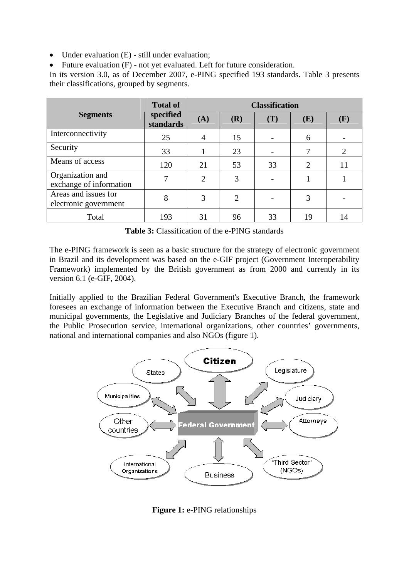- Under evaluation (E) still under evaluation;
- Future evaluation (F) not yet evaluated. Left for future consideration.

In its version 3.0, as of December 2007, e-PING specified 193 standards. Table 3 presents their classifications, grouped by segments.

|                                               | <b>Total of</b><br>specified<br><b>standards</b> | <b>Classification</b> |                             |     |     |                |
|-----------------------------------------------|--------------------------------------------------|-----------------------|-----------------------------|-----|-----|----------------|
| <b>Segments</b>                               |                                                  | (A)                   | (R)                         | (T) | (E) | (F)            |
| Interconnectivity                             | 25                                               |                       | 15                          |     | 6   |                |
| Security                                      | 33                                               |                       | 23                          |     |     | $\overline{2}$ |
| Means of access                               | 120                                              | 21                    | 53                          | 33  | 2   | 11             |
| Organization and<br>exchange of information   | 7                                                | $\overline{2}$        | 3                           |     |     |                |
| Areas and issues for<br>electronic government | 8                                                | 3                     | $\mathcal{D}_{\mathcal{L}}$ |     | 3   |                |
| Total                                         | 193                                              | 31                    | 96                          | 33  | 19  | 14             |

**Table 3:** Classification of the e-PING standards

The e-PING framework is seen as a basic structure for the strategy of electronic government in Brazil and its development was based on the e-GIF project (Government Interoperability Framework) implemented by the British government as from 2000 and currently in its version 6.1 (e-GIF, 2004).

Initially applied to the Brazilian Federal Government's Executive Branch, the framework foresees an exchange of information between the Executive Branch and citizens, state and municipal governments, the Legislative and Judiciary Branches of the federal government, the Public Prosecution service, international organizations, other countries' governments, national and international companies and also NGOs (figure 1).



**Figure 1:** e-PING relationships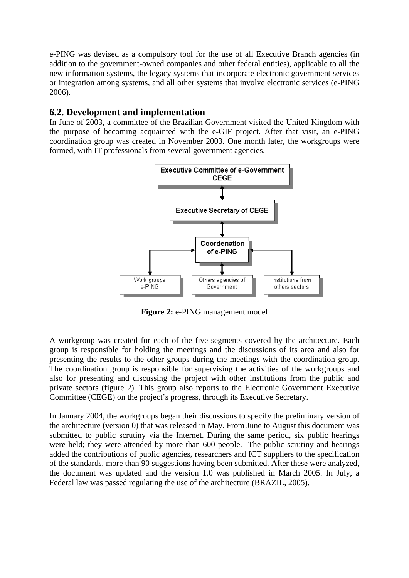e-PING was devised as a compulsory tool for the use of all Executive Branch agencies (in addition to the government-owned companies and other federal entities), applicable to all the new information systems, the legacy systems that incorporate electronic government services or integration among systems, and all other systems that involve electronic services (e-PING 2006).

#### **6.2. Development and implementation**

In June of 2003, a committee of the Brazilian Government visited the United Kingdom with the purpose of becoming acquainted with the e-GIF project. After that visit, an e-PING coordination group was created in November 2003. One month later, the workgroups were formed, with IT professionals from several government agencies.



**Figure 2: e-PING** management model

A workgroup was created for each of the five segments covered by the architecture. Each group is responsible for holding the meetings and the discussions of its area and also for presenting the results to the other groups during the meetings with the coordination group. The coordination group is responsible for supervising the activities of the workgroups and also for presenting and discussing the project with other institutions from the public and private sectors (figure 2). This group also reports to the Electronic Government Executive Committee (CEGE) on the project's progress, through its Executive Secretary.

In January 2004, the workgroups began their discussions to specify the preliminary version of the architecture (version 0) that was released in May. From June to August this document was submitted to public scrutiny via the Internet. During the same period, six public hearings were held; they were attended by more than 600 people. The public scrutiny and hearings added the contributions of public agencies, researchers and ICT suppliers to the specification of the standards, more than 90 suggestions having been submitted. After these were analyzed, the document was updated and the version 1.0 was published in March 2005. In July, a Federal law was passed regulating the use of the architecture (BRAZIL, 2005).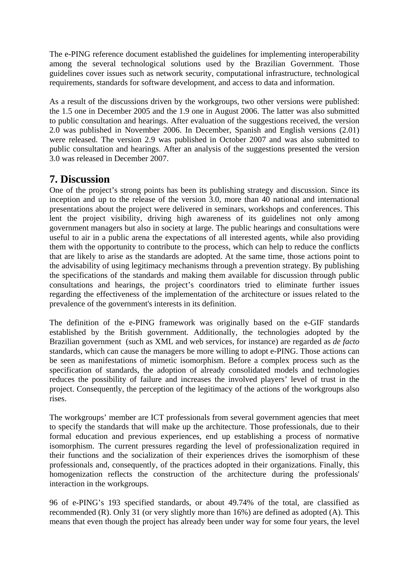The e-PING reference document established the guidelines for implementing interoperability among the several technological solutions used by the Brazilian Government. Those guidelines cover issues such as network security, computational infrastructure, technological requirements, standards for software development, and access to data and information.

As a result of the discussions driven by the workgroups, two other versions were published: the 1.5 one in December 2005 and the 1.9 one in August 2006. The latter was also submitted to public consultation and hearings. After evaluation of the suggestions received, the version 2.0 was published in November 2006. In December, Spanish and English versions (2.01) were released. The version 2.9 was published in October 2007 and was also submitted to public consultation and hearings. After an analysis of the suggestions presented the version 3.0 was released in December 2007.

# **7. Discussion**

One of the project's strong points has been its publishing strategy and discussion. Since its inception and up to the release of the version 3.0, more than 40 national and international presentations about the project were delivered in seminars, workshops and conferences. This lent the project visibility, driving high awareness of its guidelines not only among government managers but also in society at large. The public hearings and consultations were useful to air in a public arena the expectations of all interested agents, while also providing them with the opportunity to contribute to the process, which can help to reduce the conflicts that are likely to arise as the standards are adopted. At the same time, those actions point to the advisability of using legitimacy mechanisms through a prevention strategy. By publishing the specifications of the standards and making them available for discussion through public consultations and hearings, the project's coordinators tried to eliminate further issues regarding the effectiveness of the implementation of the architecture or issues related to the prevalence of the government's interests in its definition.

The definition of the e-PING framework was originally based on the e-GIF standards established by the British government. Additionally, the technologies adopted by the Brazilian government (such as XML and web services, for instance) are regarded as *de facto*  standards, which can cause the managers be more willing to adopt e-PING. Those actions can be seen as manifestations of mimetic isomorphism. Before a complex process such as the specification of standards, the adoption of already consolidated models and technologies reduces the possibility of failure and increases the involved players' level of trust in the project. Consequently, the perception of the legitimacy of the actions of the workgroups also rises.

The workgroups' member are ICT professionals from several government agencies that meet to specify the standards that will make up the architecture. Those professionals, due to their formal education and previous experiences, end up establishing a process of normative isomorphism. The current pressures regarding the level of professionalization required in their functions and the socialization of their experiences drives the isomorphism of these professionals and, consequently, of the practices adopted in their organizations. Finally, this homogenization reflects the construction of the architecture during the professionals' interaction in the workgroups.

96 of e-PING's 193 specified standards, or about 49.74% of the total, are classified as recommended (R). Only 31 (or very slightly more than 16%) are defined as adopted (A). This means that even though the project has already been under way for some four years, the level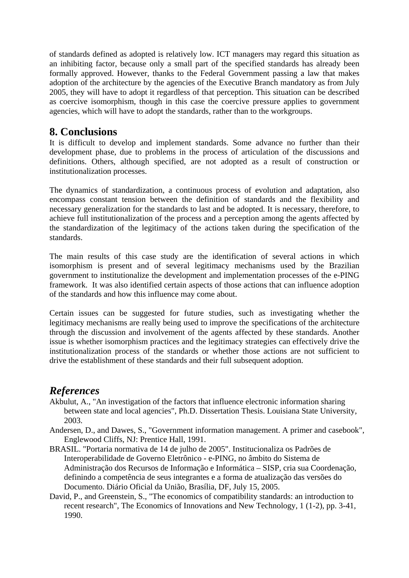of standards defined as adopted is relatively low. ICT managers may regard this situation as an inhibiting factor, because only a small part of the specified standards has already been formally approved. However, thanks to the Federal Government passing a law that makes adoption of the architecture by the agencies of the Executive Branch mandatory as from July 2005, they will have to adopt it regardless of that perception. This situation can be described as coercive isomorphism, though in this case the coercive pressure applies to government agencies, which will have to adopt the standards, rather than to the workgroups.

#### **8. Conclusions**

It is difficult to develop and implement standards. Some advance no further than their development phase, due to problems in the process of articulation of the discussions and definitions. Others, although specified, are not adopted as a result of construction or institutionalization processes.

The dynamics of standardization, a continuous process of evolution and adaptation, also encompass constant tension between the definition of standards and the flexibility and necessary generalization for the standards to last and be adopted. It is necessary, therefore, to achieve full institutionalization of the process and a perception among the agents affected by the standardization of the legitimacy of the actions taken during the specification of the standards.

The main results of this case study are the identification of several actions in which isomorphism is present and of several legitimacy mechanisms used by the Brazilian government to institutionalize the development and implementation processes of the e-PING framework. It was also identified certain aspects of those actions that can influence adoption of the standards and how this influence may come about.

Certain issues can be suggested for future studies, such as investigating whether the legitimacy mechanisms are really being used to improve the specifications of the architecture through the discussion and involvement of the agents affected by these standards. Another issue is whether isomorphism practices and the legitimacy strategies can effectively drive the institutionalization process of the standards or whether those actions are not sufficient to drive the establishment of these standards and their full subsequent adoption.

# *References*

- Akbulut, A., "An investigation of the factors that influence electronic information sharing between state and local agencies", Ph.D. Dissertation Thesis. Louisiana State University, 2003.
- Andersen, D., and Dawes, S., "Government information management. A primer and casebook", Englewood Cliffs, NJ: Prentice Hall, 1991.
- BRASIL. "Portaria normativa de 14 de julho de 2005". Institucionaliza os Padrões de Interoperabilidade de Governo Eletrônico - e-PING, no âmbito do Sistema de Administração dos Recursos de Informação e Informática – SISP, cria sua Coordenação, definindo a competência de seus integrantes e a forma de atualização das versões do Documento. Diário Oficial da União, Brasília, DF, July 15, 2005.
- David, P., and Greenstein, S., "The economics of compatibility standards: an introduction to recent research", The Economics of Innovations and New Technology, 1 (1-2), pp. 3-41, 1990.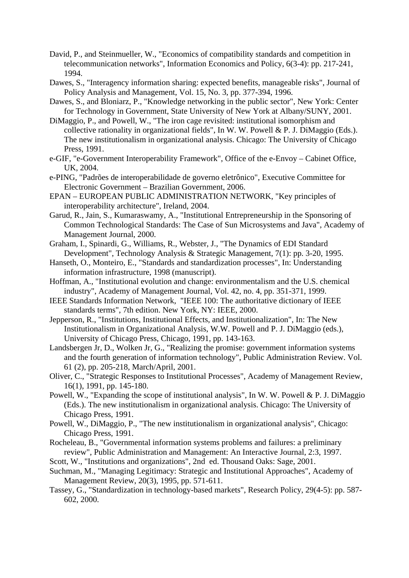- David, P., and Steinmueller, W., "Economics of compatibility standards and competition in telecommunication networks", Information Economics and Policy, 6(3-4): pp. 217-241, 1994.
- Dawes, S., "Interagency information sharing: expected benefits, manageable risks", Journal of Policy Analysis and Management, Vol. 15, No. 3, pp. 377-394, 1996.
- Dawes, S., and Bloniarz, P., "Knowledge networking in the public sector", New York: Center for Technology in Government, State University of New York at Albany/SUNY, 2001.
- DiMaggio, P., and Powell, W., "The iron cage revisited: institutional isomorphism and collective rationality in organizational fields", In W. W. Powell & P. J. DiMaggio (Eds.). The new institutionalism in organizational analysis. Chicago: The University of Chicago Press, 1991.
- e-GIF, "e-Government Interoperability Framework", Office of the e-Envoy Cabinet Office, UK, 2004.
- e-PING, "Padrões de interoperabilidade de governo eletrônico", Executive Committee for Electronic Government – Brazilian Government, 2006.
- EPAN EUROPEAN PUBLIC ADMINISTRATION NETWORK, "Key principles of interoperability architecture", Ireland, 2004.
- Garud, R., Jain, S., Kumaraswamy, A., "Institutional Entrepreneurship in the Sponsoring of Common Technological Standards: The Case of Sun Microsystems and Java", Academy of Management Journal, 2000.
- Graham, I., Spinardi, G., Williams, R., Webster, J., "The Dynamics of EDI Standard Development", Technology Analysis & Strategic Management, 7(1): pp. 3-20, 1995.
- Hanseth, O., Monteiro, E., "Standards and standardization processes", In: Understanding information infrastructure, 1998 (manuscript).
- Hoffman, A., "Institutional evolution and change: environmentalism and the U.S. chemical industry", Academy of Management Journal, Vol. 42, no. 4, pp. 351-371, 1999.
- IEEE Standards Information Network, "IEEE 100: The authoritative dictionary of IEEE standards terms", 7th edition. New York, NY: IEEE, 2000.
- Jepperson, R., "Institutions, Institutional Effects, and Institutionalization", In: The New Institutionalism in Organizational Analysis, W.W. Powell and P. J. DiMaggio (eds.), University of Chicago Press, Chicago, 1991, pp. 143-163.
- Landsbergen Jr, D., Wolken Jr, G., "Realizing the promise: government information systems and the fourth generation of information technology", Public Administration Review. Vol. 61 (2), pp. 205-218, March/April, 2001.
- Oliver, C., "Strategic Responses to Institutional Processes", Academy of Management Review, 16(1), 1991, pp. 145-180.
- Powell, W., "Expanding the scope of institutional analysis", In W. W. Powell & P. J. DiMaggio (Eds.). The new institutionalism in organizational analysis. Chicago: The University of Chicago Press, 1991.
- Powell, W., DiMaggio, P., "The new institutionalism in organizational analysis", Chicago: Chicago Press, 1991.
- Rocheleau, B., "Governmental information systems problems and failures: a preliminary review", Public Administration and Management: An Interactive Journal, 2:3, 1997.
- Scott, W., "Institutions and organizations", 2nd ed. Thousand Oaks: Sage, 2001.
- Suchman, M., "Managing Legitimacy: Strategic and Institutional Approaches", Academy of Management Review, 20(3), 1995, pp. 571-611.
- Tassey, G., "Standardization in technology-based markets", Research Policy, 29(4-5): pp. 587- 602, 2000.